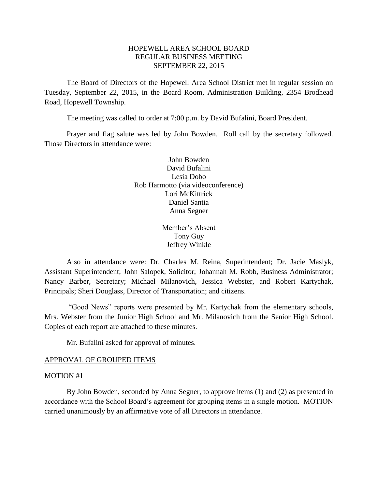## HOPEWELL AREA SCHOOL BOARD REGULAR BUSINESS MEETING SEPTEMBER 22, 2015

The Board of Directors of the Hopewell Area School District met in regular session on Tuesday, September 22, 2015, in the Board Room, Administration Building, 2354 Brodhead Road, Hopewell Township.

The meeting was called to order at 7:00 p.m. by David Bufalini, Board President.

Prayer and flag salute was led by John Bowden. Roll call by the secretary followed. Those Directors in attendance were:

> John Bowden David Bufalini Lesia Dobo Rob Harmotto (via videoconference) Lori McKittrick Daniel Santia Anna Segner

> > Member's Absent Tony Guy Jeffrey Winkle

Also in attendance were: Dr. Charles M. Reina, Superintendent; Dr. Jacie Maslyk, Assistant Superintendent; John Salopek, Solicitor; Johannah M. Robb, Business Administrator; Nancy Barber, Secretary; Michael Milanovich, Jessica Webster, and Robert Kartychak, Principals; Sheri Douglass, Director of Transportation; and citizens.

"Good News" reports were presented by Mr. Kartychak from the elementary schools, Mrs. Webster from the Junior High School and Mr. Milanovich from the Senior High School. Copies of each report are attached to these minutes.

Mr. Bufalini asked for approval of minutes.

#### APPROVAL OF GROUPED ITEMS

#### MOTION #1

By John Bowden, seconded by Anna Segner, to approve items (1) and (2) as presented in accordance with the School Board's agreement for grouping items in a single motion. MOTION carried unanimously by an affirmative vote of all Directors in attendance.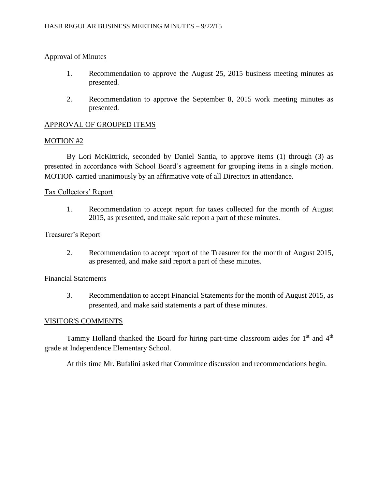## Approval of Minutes

- 1. Recommendation to approve the August 25, 2015 business meeting minutes as presented.
- 2. Recommendation to approve the September 8, 2015 work meeting minutes as presented.

## APPROVAL OF GROUPED ITEMS

#### MOTION #2

By Lori McKittrick, seconded by Daniel Santia, to approve items (1) through (3) as presented in accordance with School Board's agreement for grouping items in a single motion. MOTION carried unanimously by an affirmative vote of all Directors in attendance.

### Tax Collectors' Report

1. Recommendation to accept report for taxes collected for the month of August 2015, as presented, and make said report a part of these minutes.

### Treasurer's Report

2. Recommendation to accept report of the Treasurer for the month of August 2015, as presented, and make said report a part of these minutes.

### Financial Statements

3. Recommendation to accept Financial Statements for the month of August 2015, as presented, and make said statements a part of these minutes.

#### VISITOR'S COMMENTS

Tammy Holland thanked the Board for hiring part-time classroom aides for 1<sup>st</sup> and 4<sup>th</sup> grade at Independence Elementary School.

At this time Mr. Bufalini asked that Committee discussion and recommendations begin.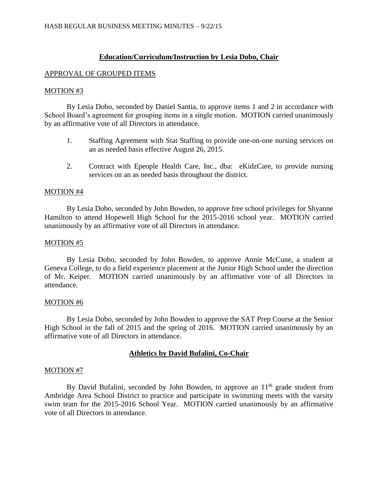## **Education/Curriculum/Instruction by Lesia Dobo, Chair**

#### APPROVAL OF GROUPED ITEMS

#### MOTION #3

By Lesia Dobo, seconded by Daniel Santia, to approve items 1 and 2 in accordance with School Board's agreement for grouping items in a single motion. MOTION carried unanimously by an affirmative vote of all Directors in attendance.

- 1. Staffing Agreement with Stat Staffing to provide one-on-one nursing services on an as needed basis effective August 26, 2015.
- 2. Contract with Epeople Health Care, Inc., dba: eKidzCare, to provide nursing services on an as needed basis throughout the district.

#### MOTION #4

By Lesia Dobo, seconded by John Bowden, to approve free school privileges for Shyanne Hamilton to attend Hopewell High School for the 2015-2016 school year. MOTION carried unanimously by an affirmative vote of all Directors in attendance.

### MOTION #5

By Lesia Dobo, seconded by John Bowden, to approve Annie McCune, a student at Geneva College, to do a field experience placement at the Junior High School under the direction of Mr. Keiper. MOTION carried unanimously by an affirmative vote of all Directors in attendance.

#### MOTION #6

By Lesia Dobo, seconded by John Bowden to approve the SAT Prep Course at the Senior High School in the fall of 2015 and the spring of 2016. MOTION carried unanimously by an affirmative vote of all Directors in attendance.

## **Athletics by David Bufalini, Co-Chair**

#### MOTION #7

By David Bufalini, seconded by John Bowden, to approve an  $11<sup>th</sup>$  grade student from Ambridge Area School District to practice and participate in swimming meets with the varsity swim team for the 2015-2016 School Year. MOTION carried unanimously by an affirmative vote of all Directors in attendance.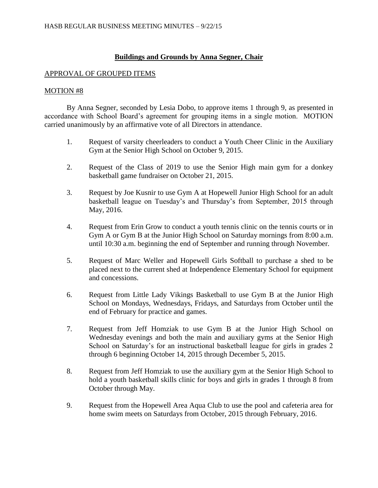## **Buildings and Grounds by Anna Segner, Chair**

#### APPROVAL OF GROUPED ITEMS

#### MOTION #8

By Anna Segner, seconded by Lesia Dobo, to approve items 1 through 9, as presented in accordance with School Board's agreement for grouping items in a single motion. MOTION carried unanimously by an affirmative vote of all Directors in attendance.

- 1. Request of varsity cheerleaders to conduct a Youth Cheer Clinic in the Auxiliary Gym at the Senior High School on October 9, 2015.
- 2. Request of the Class of 2019 to use the Senior High main gym for a donkey basketball game fundraiser on October 21, 2015.
- 3. Request by Joe Kusnir to use Gym A at Hopewell Junior High School for an adult basketball league on Tuesday's and Thursday's from September, 2015 through May, 2016.
- 4. Request from Erin Grow to conduct a youth tennis clinic on the tennis courts or in Gym A or Gym B at the Junior High School on Saturday mornings from 8:00 a.m. until 10:30 a.m. beginning the end of September and running through November.
- 5. Request of Marc Weller and Hopewell Girls Softball to purchase a shed to be placed next to the current shed at Independence Elementary School for equipment and concessions.
- 6. Request from Little Lady Vikings Basketball to use Gym B at the Junior High School on Mondays, Wednesdays, Fridays, and Saturdays from October until the end of February for practice and games.
- 7. Request from Jeff Homziak to use Gym B at the Junior High School on Wednesday evenings and both the main and auxiliary gyms at the Senior High School on Saturday's for an instructional basketball league for girls in grades 2 through 6 beginning October 14, 2015 through December 5, 2015.
- 8. Request from Jeff Homziak to use the auxiliary gym at the Senior High School to hold a youth basketball skills clinic for boys and girls in grades 1 through 8 from October through May.
- 9. Request from the Hopewell Area Aqua Club to use the pool and cafeteria area for home swim meets on Saturdays from October, 2015 through February, 2016.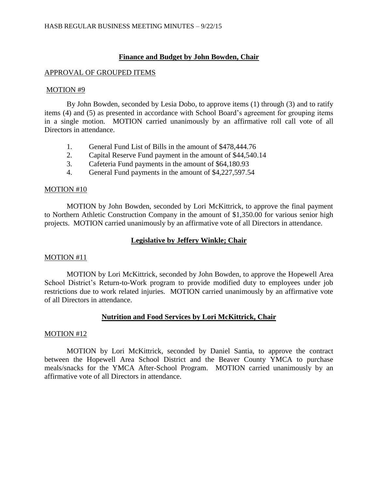# **Finance and Budget by John Bowden, Chair**

### APPROVAL OF GROUPED ITEMS

### MOTION #9

By John Bowden, seconded by Lesia Dobo, to approve items (1) through (3) and to ratify items (4) and (5) as presented in accordance with School Board's agreement for grouping items in a single motion. MOTION carried unanimously by an affirmative roll call vote of all Directors in attendance.

- 1. General Fund List of Bills in the amount of \$478,444.76
- 2. Capital Reserve Fund payment in the amount of \$44,540.14
- 3. Cafeteria Fund payments in the amount of \$64,180.93
- 4. General Fund payments in the amount of \$4,227,597.54

#### MOTION #10

MOTION by John Bowden, seconded by Lori McKittrick, to approve the final payment to Northern Athletic Construction Company in the amount of \$1,350.00 for various senior high projects. MOTION carried unanimously by an affirmative vote of all Directors in attendance.

# **Legislative by Jeffery Winkle; Chair**

#### MOTION #11

MOTION by Lori McKittrick, seconded by John Bowden, to approve the Hopewell Area School District's Return-to-Work program to provide modified duty to employees under job restrictions due to work related injuries. MOTION carried unanimously by an affirmative vote of all Directors in attendance.

## **Nutrition and Food Services by Lori McKittrick, Chair**

#### MOTION #12

MOTION by Lori McKittrick, seconded by Daniel Santia, to approve the contract between the Hopewell Area School District and the Beaver County YMCA to purchase meals/snacks for the YMCA After-School Program. MOTION carried unanimously by an affirmative vote of all Directors in attendance.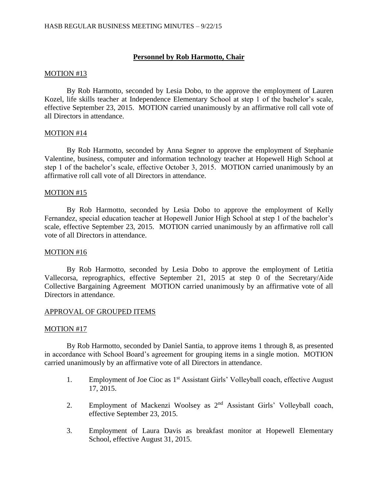# **Personnel by Rob Harmotto, Chair**

### MOTION #13

By Rob Harmotto, seconded by Lesia Dobo, to the approve the employment of Lauren Kozel, life skills teacher at Independence Elementary School at step 1 of the bachelor's scale, effective September 23, 2015. MOTION carried unanimously by an affirmative roll call vote of all Directors in attendance.

### MOTION #14

By Rob Harmotto, seconded by Anna Segner to approve the employment of Stephanie Valentine, business, computer and information technology teacher at Hopewell High School at step 1 of the bachelor's scale, effective October 3, 2015. MOTION carried unanimously by an affirmative roll call vote of all Directors in attendance.

### MOTION #15

By Rob Harmotto, seconded by Lesia Dobo to approve the employment of Kelly Fernandez, special education teacher at Hopewell Junior High School at step 1 of the bachelor's scale, effective September 23, 2015. MOTION carried unanimously by an affirmative roll call vote of all Directors in attendance.

### MOTION #16

By Rob Harmotto, seconded by Lesia Dobo to approve the employment of Letitia Vallecorsa, reprographics, effective September 21, 2015 at step 0 of the Secretary/Aide Collective Bargaining Agreement MOTION carried unanimously by an affirmative vote of all Directors in attendance.

## APPROVAL OF GROUPED ITEMS

#### MOTION #17

By Rob Harmotto, seconded by Daniel Santia, to approve items 1 through 8, as presented in accordance with School Board's agreement for grouping items in a single motion. MOTION carried unanimously by an affirmative vote of all Directors in attendance.

- 1. Employment of Joe Cioc as 1<sup>st</sup> Assistant Girls' Volleyball coach, effective August 17, 2015.
- 2. Employment of Mackenzi Woolsey as  $2<sup>nd</sup>$  Assistant Girls' Volleyball coach, effective September 23, 2015.
- 3. Employment of Laura Davis as breakfast monitor at Hopewell Elementary School, effective August 31, 2015.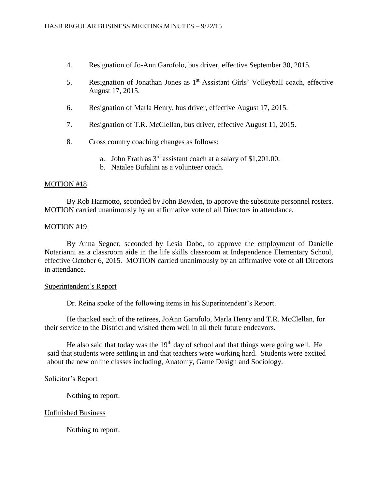- 4. Resignation of Jo-Ann Garofolo, bus driver, effective September 30, 2015.
- 5. Resignation of Jonathan Jones as 1st Assistant Girls' Volleyball coach, effective August 17, 2015.
- 6. Resignation of Marla Henry, bus driver, effective August 17, 2015.
- 7. Resignation of T.R. McClellan, bus driver, effective August 11, 2015.
- 8. Cross country coaching changes as follows:
	- a. John Erath as  $3<sup>rd</sup>$  assistant coach at a salary of \$1,201.00.
	- b. Natalee Bufalini as a volunteer coach.

#### MOTION #18

By Rob Harmotto, seconded by John Bowden, to approve the substitute personnel rosters. MOTION carried unanimously by an affirmative vote of all Directors in attendance.

#### MOTION #19

By Anna Segner, seconded by Lesia Dobo, to approve the employment of Danielle Notarianni as a classroom aide in the life skills classroom at Independence Elementary School, effective October 6, 2015. MOTION carried unanimously by an affirmative vote of all Directors in attendance.

#### Superintendent's Report

Dr. Reina spoke of the following items in his Superintendent's Report.

He thanked each of the retirees, JoAnn Garofolo, Marla Henry and T.R. McClellan, for their service to the District and wished them well in all their future endeavors.

He also said that today was the  $19<sup>th</sup>$  day of school and that things were going well. He said that students were settling in and that teachers were working hard. Students were excited about the new online classes including, Anatomy, Game Design and Sociology.

#### Solicitor's Report

Nothing to report.

#### Unfinished Business

Nothing to report.